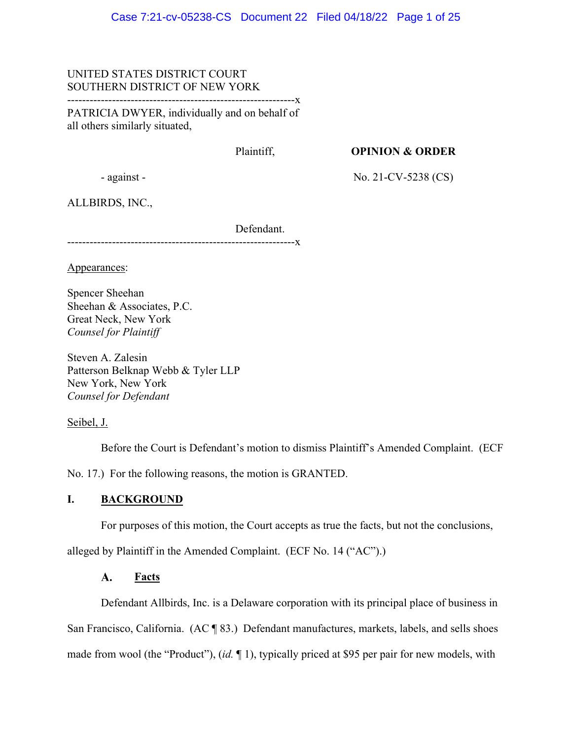# UNITED STATES DISTRICT COURT SOUTHERN DISTRICT OF NEW YORK

-------------------------------------------------------------x

PATRICIA DWYER, individually and on behalf of all others similarly situated,

Plaintiff,

**OPINION & ORDER** 

- against -

No. 21-CV-5238 (CS)

ALLBIRDS, INC.,

 Defendant. -------------------**x** 

Appearances:

Spencer Sheehan Sheehan & Associates, P.C. Great Neck, New York *Counsel for Plaintiff* 

Steven A. Zalesin Patterson Belknap Webb & Tyler LLP New York, New York *Counsel for Defendant* 

Seibel, J.

Before the Court is Defendant's motion to dismiss Plaintiff's Amended Complaint. (ECF

No. 17.) For the following reasons, the motion is GRANTED.

# **I. BACKGROUND**

For purposes of this motion, the Court accepts as true the facts, but not the conclusions,

alleged by Plaintiff in the Amended Complaint. (ECF No. 14 ("AC").)

#### $\mathbf{A}$ . **Facts**

Defendant Allbirds, Inc. is a Delaware corporation with its principal place of business in San Francisco, California. (AC ¶ 83.) Defendant manufactures, markets, labels, and sells shoes made from wool (the "Product"), (*id.* ¶ 1), typically priced at \$95 per pair for new models, with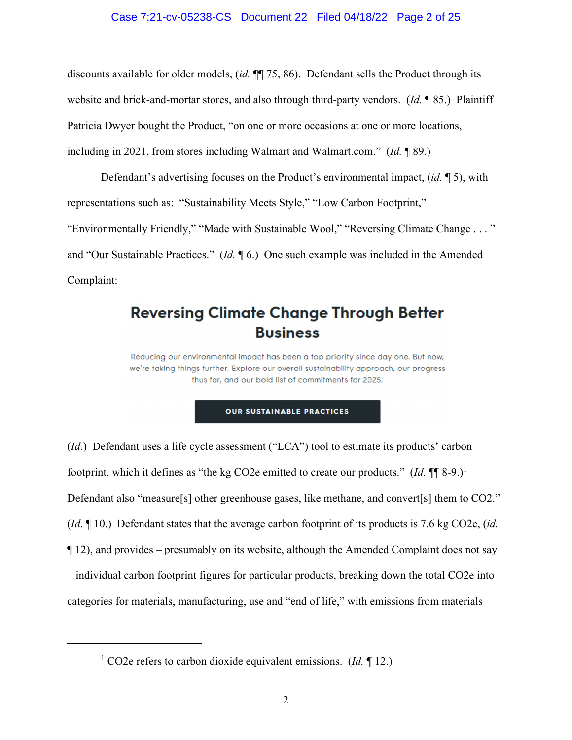## Case 7:21-cv-05238-CS Document 22 Filed 04/18/22 Page 2 of 25

discounts available for older models, (*id.* ¶¶ 75, 86). Defendant sells the Product through its website and brick-and-mortar stores, and also through third-party vendors. (*Id.* ¶ 85.) Plaintiff Patricia Dwyer bought the Product, "on one or more occasions at one or more locations, including in 2021, from stores including Walmart and Walmart.com." (*Id.* ¶ 89.)

Defendant's advertising focuses on the Product's environmental impact, (*id.* ¶ 5), with representations such as: "Sustainability Meets Style," "Low Carbon Footprint," "Environmentally Friendly," "Made with Sustainable Wool," "Reversing Climate Change . . . " and "Our Sustainable Practices." (*Id.* ¶ 6.) One such example was included in the Amended Complaint:

# **Reversing Climate Change Through Better Business**

Reducing our environmental impact has been a top priority since day one. But now, we're taking things further. Explore our overall sustainability approach, our progress thus far, and our bold list of commitments for 2025.

#### **OUR SUSTAINABLE PRACTICES**

(*Id*.) Defendant uses a life cycle assessment ("LCA") tool to estimate its products' carbon footprint, which it defines as "the kg CO2e emitted to create our products."  $(Id. \P \P \S -9.)^1$ Defendant also "measure[s] other greenhouse gases, like methane, and convert[s] them to CO2." (*Id*. ¶ 10.) Defendant states that the average carbon footprint of its products is 7.6 kg CO2e, (*id.*   $\P$  12), and provides – presumably on its website, although the Amended Complaint does not say – individual carbon footprint figures for particular products, breaking down the total CO2e into categories for materials, manufacturing, use and "end of life," with emissions from materials

<sup>&</sup>lt;sup>1</sup> CO2e refers to carbon dioxide equivalent emissions. (*Id.* 12.)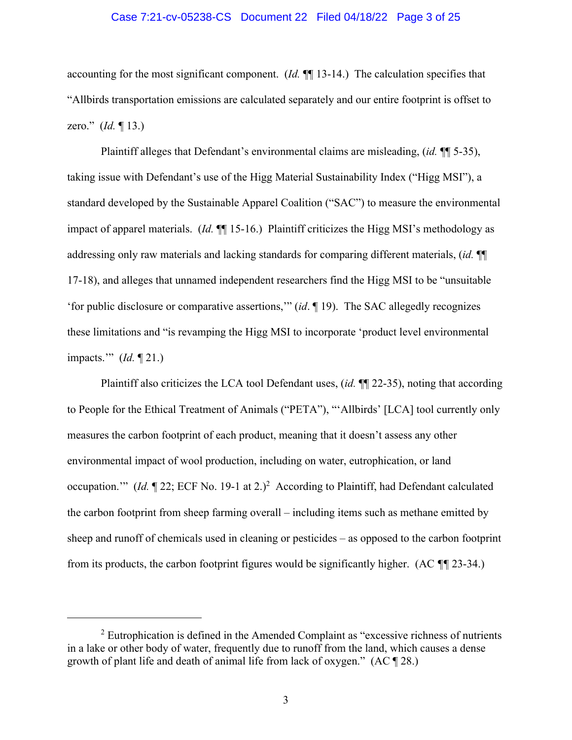#### Case 7:21-cv-05238-CS Document 22 Filed 04/18/22 Page 3 of 25

accounting for the most significant component. (*Id.* ¶¶ 13-14.) The calculation specifies that "Allbirds transportation emissions are calculated separately and our entire footprint is offset to zero." (*Id.* ¶ 13.)

Plaintiff alleges that Defendant's environmental claims are misleading, (*id.* ¶¶ 5-35), taking issue with Defendant's use of the Higg Material Sustainability Index ("Higg MSI"), a standard developed by the Sustainable Apparel Coalition ("SAC") to measure the environmental impact of apparel materials. (*Id.* ¶¶ 15-16.) Plaintiff criticizes the Higg MSI's methodology as addressing only raw materials and lacking standards for comparing different materials, (*id.* ¶¶ 17-18), and alleges that unnamed independent researchers find the Higg MSI to be "unsuitable 'for public disclosure or comparative assertions,'" (*id*. ¶ 19). The SAC allegedly recognizes these limitations and "is revamping the Higg MSI to incorporate 'product level environmental impacts.'" (*Id.* ¶ 21.)

Plaintiff also criticizes the LCA tool Defendant uses, (*id.* ¶¶ 22-35), noting that according to People for the Ethical Treatment of Animals ("PETA"), "'Allbirds' [LCA] tool currently only measures the carbon footprint of each product, meaning that it doesn't assess any other environmental impact of wool production, including on water, eutrophication, or land occupation." (*Id.*  $\P$  22; ECF No. 19-1 at 2.)<sup>2</sup> According to Plaintiff, had Defendant calculated the carbon footprint from sheep farming overall – including items such as methane emitted by sheep and runoff of chemicals used in cleaning or pesticides – as opposed to the carbon footprint from its products, the carbon footprint figures would be significantly higher. (AC *¶¶* 23-34.)

 $2$  Eutrophication is defined in the Amended Complaint as "excessive richness of nutrients in a lake or other body of water, frequently due to runoff from the land, which causes a dense growth of plant life and death of animal life from lack of oxygen." (AC ¶ 28.)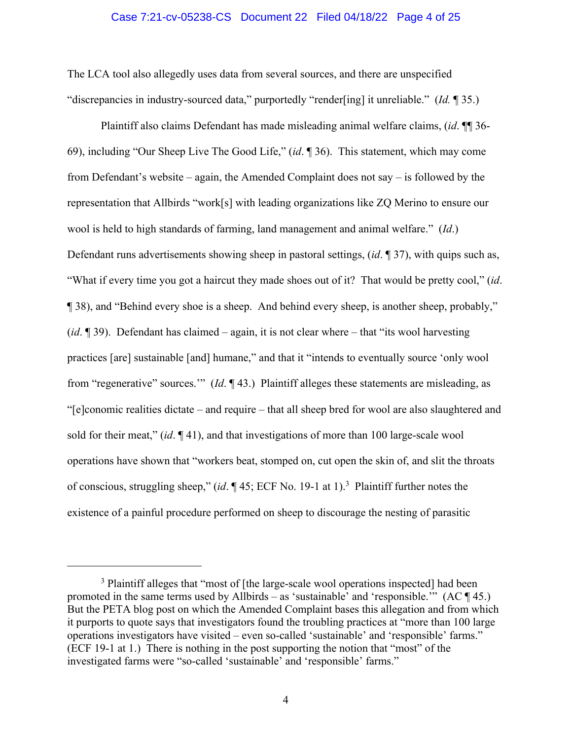### Case 7:21-cv-05238-CS Document 22 Filed 04/18/22 Page 4 of 25

The LCA tool also allegedly uses data from several sources, and there are unspecified "discrepancies in industry-sourced data," purportedly "render[ing] it unreliable." (*Id.* ¶ 35.)

Plaintiff also claims Defendant has made misleading animal welfare claims, (*id*. ¶¶ 36- 69), including "Our Sheep Live The Good Life," (*id*. ¶ 36). This statement, which may come from Defendant's website – again, the Amended Complaint does not say – is followed by the representation that Allbirds "work[s] with leading organizations like ZQ Merino to ensure our wool is held to high standards of farming, land management and animal welfare." (*Id*.) Defendant runs advertisements showing sheep in pastoral settings, (*id*. ¶ 37), with quips such as, "What if every time you got a haircut they made shoes out of it? That would be pretty cool," (*id*. ¶ 38), and "Behind every shoe is a sheep. And behind every sheep, is another sheep, probably," (*id*. ¶ 39). Defendant has claimed – again, it is not clear where – that "its wool harvesting practices [are] sustainable [and] humane," and that it "intends to eventually source 'only wool from "regenerative" sources.'" (*Id*. ¶ 43.) Plaintiff alleges these statements are misleading, as "[e]conomic realities dictate – and require – that all sheep bred for wool are also slaughtered and sold for their meat," (*id*. ¶ 41), and that investigations of more than 100 large-scale wool operations have shown that "workers beat, stomped on, cut open the skin of, and slit the throats of conscious, struggling sheep," (*id*. ¶ 45; ECF No. 19-1 at 1).<sup>3</sup> Plaintiff further notes the existence of a painful procedure performed on sheep to discourage the nesting of parasitic

<sup>&</sup>lt;sup>3</sup> Plaintiff alleges that "most of [the large-scale wool operations inspected] had been promoted in the same terms used by Allbirds – as 'sustainable' and 'responsible.'"  $(AC \P 45.)$ But the PETA blog post on which the Amended Complaint bases this allegation and from which it purports to quote says that investigators found the troubling practices at "more than 100 large operations investigators have visited – even so-called 'sustainable' and 'responsible' farms." (ECF 19-1 at 1.) There is nothing in the post supporting the notion that "most" of the investigated farms were "so-called 'sustainable' and 'responsible' farms."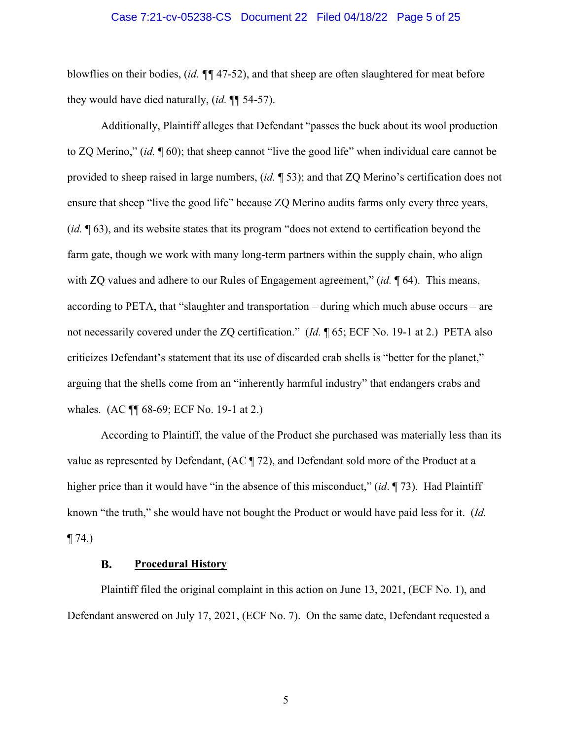#### Case 7:21-cv-05238-CS Document 22 Filed 04/18/22 Page 5 of 25

blowflies on their bodies, (*id. ¶¶* 47-52), and that sheep are often slaughtered for meat before they would have died naturally, (*id.* ¶¶ 54-57).

Additionally, Plaintiff alleges that Defendant "passes the buck about its wool production to ZQ Merino," (*id.* ¶ 60); that sheep cannot "live the good life" when individual care cannot be provided to sheep raised in large numbers, (*id.* ¶ 53); and that ZQ Merino's certification does not ensure that sheep "live the good life" because ZQ Merino audits farms only every three years, (*id.* ¶ 63), and its website states that its program "does not extend to certification beyond the farm gate, though we work with many long-term partners within the supply chain, who align with ZQ values and adhere to our Rules of Engagement agreement," (*id.* ¶ 64). This means, according to PETA, that "slaughter and transportation – during which much abuse occurs – are not necessarily covered under the ZQ certification." (*Id.* ¶ 65; ECF No. 19-1 at 2.) PETA also criticizes Defendant's statement that its use of discarded crab shells is "better for the planet," arguing that the shells come from an "inherently harmful industry" that endangers crabs and whales. (AC ¶¶ 68-69; ECF No. 19-1 at 2.)

According to Plaintiff, the value of the Product she purchased was materially less than its value as represented by Defendant, (AC ¶ 72), and Defendant sold more of the Product at a higher price than it would have "in the absence of this misconduct," (*id*. ¶ 73). Had Plaintiff known "the truth," she would have not bought the Product or would have paid less for it. (*Id.*   $\P$  74.)

#### В. **Procedural History**

Plaintiff filed the original complaint in this action on June 13, 2021, (ECF No. 1), and Defendant answered on July 17, 2021, (ECF No. 7). On the same date, Defendant requested a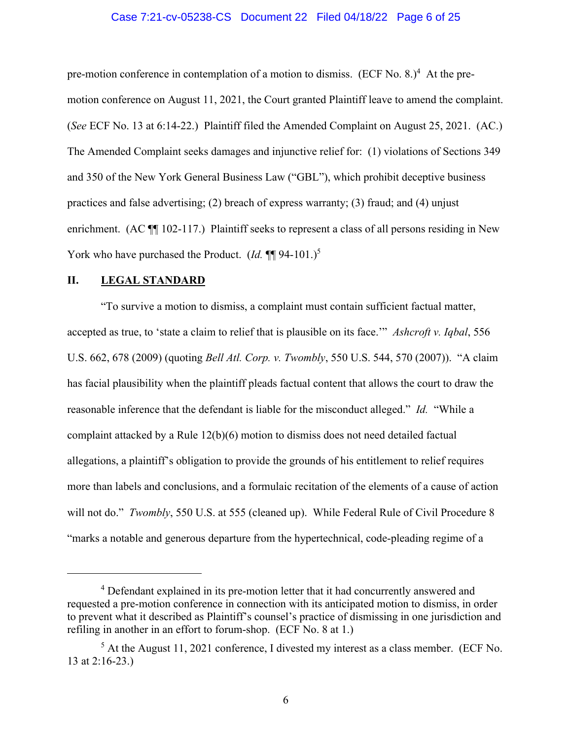#### Case 7:21-cv-05238-CS Document 22 Filed 04/18/22 Page 6 of 25

pre-motion conference in contemplation of a motion to dismiss. (ECF No. 8.)<sup>4</sup> At the premotion conference on August 11, 2021, the Court granted Plaintiff leave to amend the complaint. (*See* ECF No. 13 at 6:14-22.) Plaintiff filed the Amended Complaint on August 25, 2021. (AC.) The Amended Complaint seeks damages and injunctive relief for: (1) violations of Sections 349 and 350 of the New York General Business Law ("GBL"), which prohibit deceptive business practices and false advertising; (2) breach of express warranty; (3) fraud; and (4) unjust enrichment. (AC  $\P$  102-117.) Plaintiff seeks to represent a class of all persons residing in New York who have purchased the Product. (*Id.* ¶¶ 94-101.)<sup>5</sup>

### **II. LEGAL STANDARD**

"To survive a motion to dismiss, a complaint must contain sufficient factual matter, accepted as true, to 'state a claim to relief that is plausible on its face.'" *Ashcroft v. Iqbal*, 556 U.S. 662, 678 (2009) (quoting *Bell Atl. Corp. v. Twombly*, 550 U.S. 544, 570 (2007)). "A claim has facial plausibility when the plaintiff pleads factual content that allows the court to draw the reasonable inference that the defendant is liable for the misconduct alleged." *Id.* "While a complaint attacked by a Rule 12(b)(6) motion to dismiss does not need detailed factual allegations, a plaintiff's obligation to provide the grounds of his entitlement to relief requires more than labels and conclusions, and a formulaic recitation of the elements of a cause of action will not do." *Twombly*, 550 U.S. at 555 (cleaned up). While Federal Rule of Civil Procedure 8 "marks a notable and generous departure from the hypertechnical, code-pleading regime of a

<sup>&</sup>lt;sup>4</sup> Defendant explained in its pre-motion letter that it had concurrently answered and requested a pre-motion conference in connection with its anticipated motion to dismiss, in order to prevent what it described as Plaintiff's counsel's practice of dismissing in one jurisdiction and refiling in another in an effort to forum-shop. (ECF No. 8 at 1.)

 $<sup>5</sup>$  At the August 11, 2021 conference, I divested my interest as a class member. (ECF No.</sup> 13 at 2:16-23.)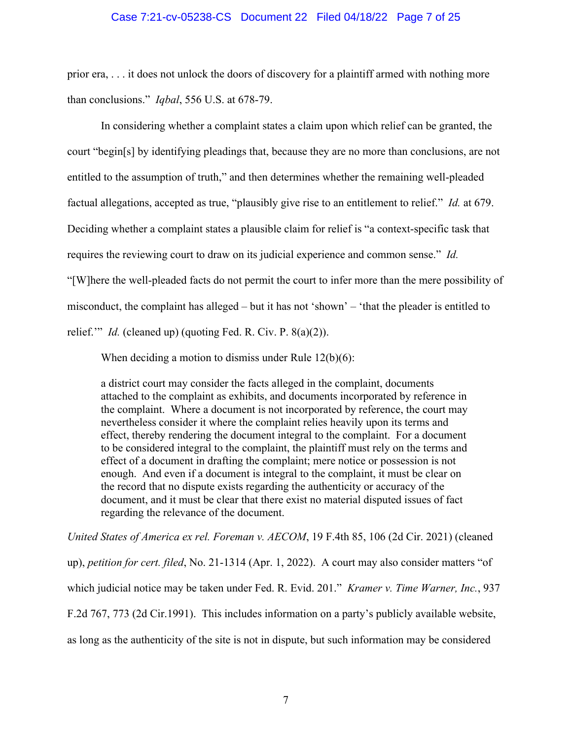#### Case 7:21-cv-05238-CS Document 22 Filed 04/18/22 Page 7 of 25

prior era, . . . it does not unlock the doors of discovery for a plaintiff armed with nothing more than conclusions." *Iqbal*, 556 U.S. at 678-79.

In considering whether a complaint states a claim upon which relief can be granted, the court "begin[s] by identifying pleadings that, because they are no more than conclusions, are not entitled to the assumption of truth," and then determines whether the remaining well-pleaded factual allegations, accepted as true, "plausibly give rise to an entitlement to relief." *Id.* at 679. Deciding whether a complaint states a plausible claim for relief is "a context-specific task that requires the reviewing court to draw on its judicial experience and common sense." *Id.* "[W]here the well-pleaded facts do not permit the court to infer more than the mere possibility of misconduct, the complaint has alleged – but it has not 'shown' – 'that the pleader is entitled to relief." *Id.* (cleaned up) (quoting Fed. R. Civ. P. 8(a)(2)).

When deciding a motion to dismiss under Rule 12(b)(6):

a district court may consider the facts alleged in the complaint, documents attached to the complaint as exhibits, and documents incorporated by reference in the complaint. Where a document is not incorporated by reference, the court may nevertheless consider it where the complaint relies heavily upon its terms and effect, thereby rendering the document integral to the complaint. For a document to be considered integral to the complaint, the plaintiff must rely on the terms and effect of a document in drafting the complaint; mere notice or possession is not enough. And even if a document is integral to the complaint, it must be clear on the record that no dispute exists regarding the authenticity or accuracy of the document, and it must be clear that there exist no material disputed issues of fact regarding the relevance of the document.

*United States of America ex rel. Foreman v. AECOM*, 19 F.4th 85, 106 (2d Cir. 2021) (cleaned up), *petition for cert. filed*, No. 21-1314 (Apr. 1, 2022). A court may also consider matters "of which judicial notice may be taken under Fed. R. Evid. 201." *Kramer v. Time Warner, Inc.*, 937 F.2d 767, 773 (2d Cir.1991). This includes information on a party's publicly available website, as long as the authenticity of the site is not in dispute, but such information may be considered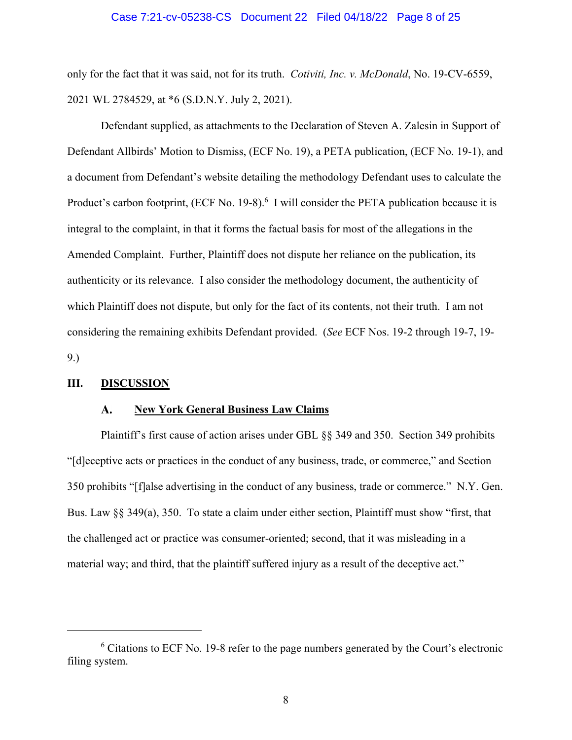#### Case 7:21-cv-05238-CS Document 22 Filed 04/18/22 Page 8 of 25

only for the fact that it was said, not for its truth. *Cotiviti, Inc. v. McDonald*, No. 19-CV-6559, 2021 WL 2784529, at \*6 (S.D.N.Y. July 2, 2021).

Defendant supplied, as attachments to the Declaration of Steven A. Zalesin in Support of Defendant Allbirds' Motion to Dismiss, (ECF No. 19), a PETA publication, (ECF No. 19-1), and a document from Defendant's website detailing the methodology Defendant uses to calculate the Product's carbon footprint, (ECF No. 19-8).<sup>6</sup> I will consider the PETA publication because it is integral to the complaint, in that it forms the factual basis for most of the allegations in the Amended Complaint. Further, Plaintiff does not dispute her reliance on the publication, its authenticity or its relevance. I also consider the methodology document, the authenticity of which Plaintiff does not dispute, but only for the fact of its contents, not their truth. I am not considering the remaining exhibits Defendant provided. (*See* ECF Nos. 19-2 through 19-7, 19- 9.)

#### **III. DISCUSSION**

#### **New York General Business Law Claims**   $\mathbf{A}$ .

Plaintiff's first cause of action arises under GBL §§ 349 and 350. Section 349 prohibits "[d]eceptive acts or practices in the conduct of any business, trade, or commerce," and Section 350 prohibits "[f]alse advertising in the conduct of any business, trade or commerce." N.Y. Gen. Bus. Law §§ 349(a), 350. To state a claim under either section, Plaintiff must show "first, that the challenged act or practice was consumer-oriented; second, that it was misleading in a material way; and third, that the plaintiff suffered injury as a result of the deceptive act."

<sup>&</sup>lt;sup>6</sup> Citations to ECF No. 19-8 refer to the page numbers generated by the Court's electronic filing system.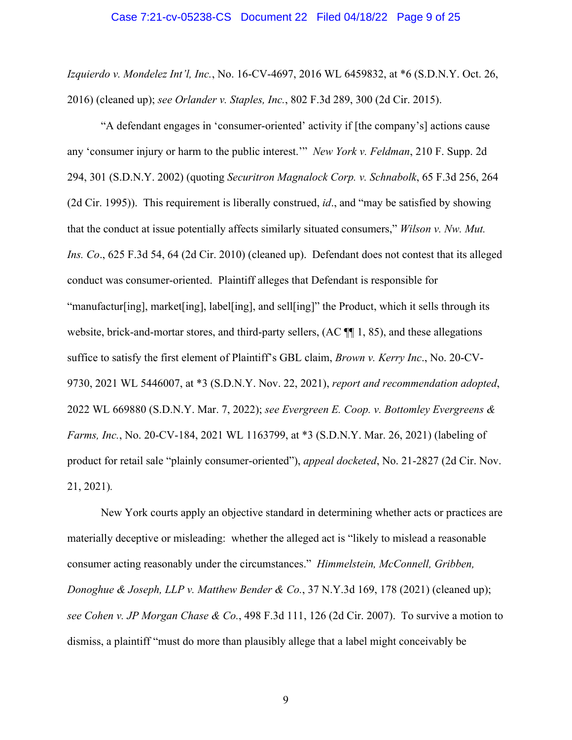## Case 7:21-cv-05238-CS Document 22 Filed 04/18/22 Page 9 of 25

*Izquierdo v. Mondelez Int'l, Inc.*, No. 16-CV-4697, 2016 WL 6459832, at \*6 (S.D.N.Y. Oct. 26, 2016) (cleaned up); *see Orlander v. Staples, Inc.*, 802 F.3d 289, 300 (2d Cir. 2015).

"A defendant engages in 'consumer-oriented' activity if [the company's] actions cause any 'consumer injury or harm to the public interest.'" *New York v. Feldman*, 210 F. Supp. 2d 294, 301 (S.D.N.Y. 2002) (quoting *Securitron Magnalock Corp. v. Schnabolk*, 65 F.3d 256, 264 (2d Cir. 1995)). This requirement is liberally construed, *id*., and "may be satisfied by showing that the conduct at issue potentially affects similarly situated consumers," *Wilson v. Nw. Mut. Ins. Co*., 625 F.3d 54, 64 (2d Cir. 2010) (cleaned up). Defendant does not contest that its alleged conduct was consumer-oriented. Plaintiff alleges that Defendant is responsible for "manufactur[ing], market[ing], label[ing], and sell[ing]" the Product, which it sells through its website, brick-and-mortar stores, and third-party sellers, (AC  $\P$ [1,85), and these allegations suffice to satisfy the first element of Plaintiff's GBL claim, *Brown v. Kerry Inc*., No. 20-CV-9730, 2021 WL 5446007, at \*3 (S.D.N.Y. Nov. 22, 2021), *report and recommendation adopted*, 2022 WL 669880 (S.D.N.Y. Mar. 7, 2022); *see Evergreen E. Coop. v. Bottomley Evergreens & Farms, Inc.*, No. 20-CV-184, 2021 WL 1163799, at \*3 (S.D.N.Y. Mar. 26, 2021) (labeling of product for retail sale "plainly consumer-oriented"), *appeal docketed*, No. 21-2827 (2d Cir. Nov. 21, 2021)*.*

New York courts apply an objective standard in determining whether acts or practices are materially deceptive or misleading: whether the alleged act is "likely to mislead a reasonable consumer acting reasonably under the circumstances." *Himmelstein, McConnell, Gribben, Donoghue & Joseph, LLP v. Matthew Bender & Co.*, 37 N.Y.3d 169, 178 (2021) (cleaned up); *see Cohen v. JP Morgan Chase & Co.*, 498 F.3d 111, 126 (2d Cir. 2007). To survive a motion to dismiss, a plaintiff "must do more than plausibly allege that a label might conceivably be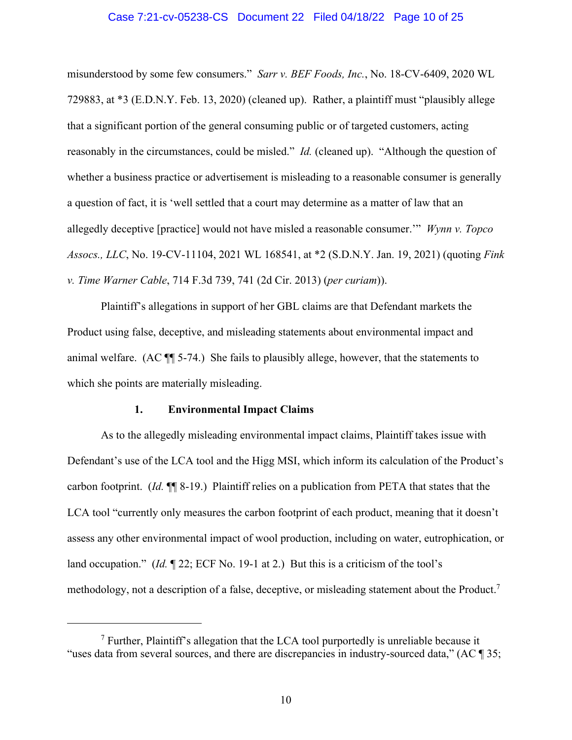#### Case 7:21-cv-05238-CS Document 22 Filed 04/18/22 Page 10 of 25

misunderstood by some few consumers." *Sarr v. BEF Foods, Inc.*, No. 18-CV-6409, 2020 WL 729883, at \*3 (E.D.N.Y. Feb. 13, 2020) (cleaned up). Rather, a plaintiff must "plausibly allege that a significant portion of the general consuming public or of targeted customers, acting reasonably in the circumstances, could be misled." *Id.* (cleaned up). "Although the question of whether a business practice or advertisement is misleading to a reasonable consumer is generally a question of fact, it is 'well settled that a court may determine as a matter of law that an allegedly deceptive [practice] would not have misled a reasonable consumer.'" *Wynn v. Topco Assocs., LLC*, No. 19-CV-11104, 2021 WL 168541, at \*2 (S.D.N.Y. Jan. 19, 2021) (quoting *Fink v. Time Warner Cable*, 714 F.3d 739, 741 (2d Cir. 2013) (*per curiam*)).

Plaintiff's allegations in support of her GBL claims are that Defendant markets the Product using false, deceptive, and misleading statements about environmental impact and animal welfare. (AC ¶¶ 5-74.) She fails to plausibly allege, however, that the statements to which she points are materially misleading.

#### **1. Environmental Impact Claims**

As to the allegedly misleading environmental impact claims, Plaintiff takes issue with Defendant's use of the LCA tool and the Higg MSI, which inform its calculation of the Product's carbon footprint. (*Id.* ¶¶ 8-19.) Plaintiff relies on a publication from PETA that states that the LCA tool "currently only measures the carbon footprint of each product, meaning that it doesn't assess any other environmental impact of wool production, including on water, eutrophication, or land occupation." (*Id.* 122; ECF No. 19-1 at 2.) But this is a criticism of the tool's methodology, not a description of a false, deceptive, or misleading statement about the Product.<sup>7</sup>

 $<sup>7</sup>$  Further, Plaintiff's allegation that the LCA tool purportedly is unreliable because it</sup> "uses data from several sources, and there are discrepancies in industry-sourced data," (AC ¶ 35;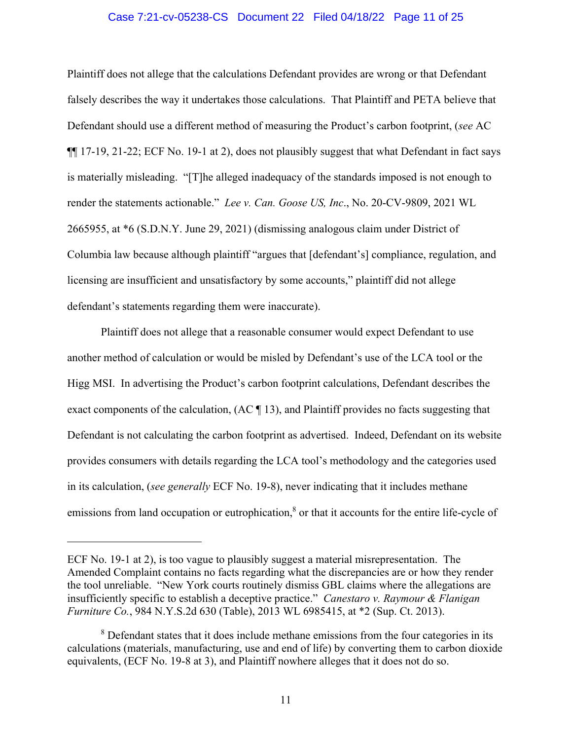### Case 7:21-cv-05238-CS Document 22 Filed 04/18/22 Page 11 of 25

Plaintiff does not allege that the calculations Defendant provides are wrong or that Defendant falsely describes the way it undertakes those calculations. That Plaintiff and PETA believe that Defendant should use a different method of measuring the Product's carbon footprint, (*see* AC ¶¶ 17-19, 21-22; ECF No. 19-1 at 2), does not plausibly suggest that what Defendant in fact says is materially misleading. "[T]he alleged inadequacy of the standards imposed is not enough to render the statements actionable." *Lee v. Can. Goose US, Inc*., No. 20-CV-9809, 2021 WL 2665955, at \*6 (S.D.N.Y. June 29, 2021) (dismissing analogous claim under District of Columbia law because although plaintiff "argues that [defendant's] compliance, regulation, and licensing are insufficient and unsatisfactory by some accounts," plaintiff did not allege defendant's statements regarding them were inaccurate).

Plaintiff does not allege that a reasonable consumer would expect Defendant to use another method of calculation or would be misled by Defendant's use of the LCA tool or the Higg MSI. In advertising the Product's carbon footprint calculations, Defendant describes the exact components of the calculation, (AC ¶ 13), and Plaintiff provides no facts suggesting that Defendant is not calculating the carbon footprint as advertised. Indeed, Defendant on its website provides consumers with details regarding the LCA tool's methodology and the categories used in its calculation, (*see generally* ECF No. 19-8), never indicating that it includes methane emissions from land occupation or eutrophication,<sup>8</sup> or that it accounts for the entire life-cycle of

ECF No. 19-1 at 2), is too vague to plausibly suggest a material misrepresentation. The Amended Complaint contains no facts regarding what the discrepancies are or how they render the tool unreliable. "New York courts routinely dismiss GBL claims where the allegations are insufficiently specific to establish a deceptive practice." *Canestaro v. Raymour & Flanigan Furniture Co.*, 984 N.Y.S.2d 630 (Table), 2013 WL 6985415, at \*2 (Sup. Ct. 2013).

<sup>&</sup>lt;sup>8</sup> Defendant states that it does include methane emissions from the four categories in its calculations (materials, manufacturing, use and end of life) by converting them to carbon dioxide equivalents, (ECF No. 19-8 at 3), and Plaintiff nowhere alleges that it does not do so.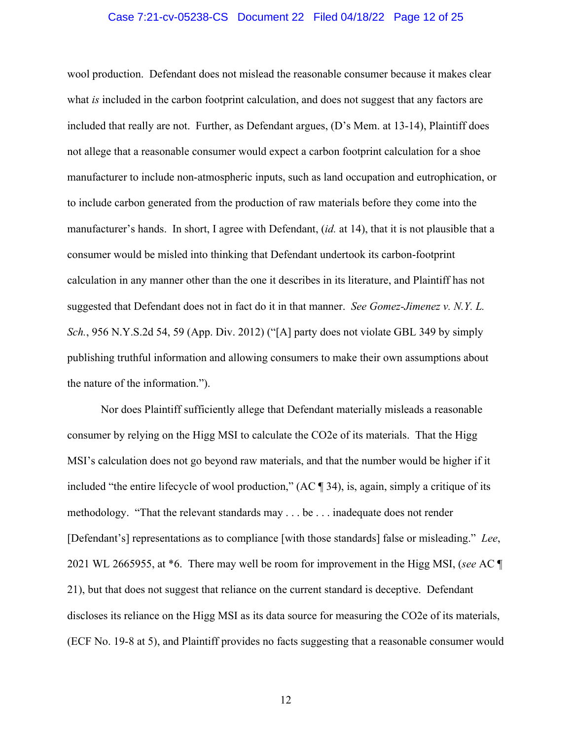### Case 7:21-cv-05238-CS Document 22 Filed 04/18/22 Page 12 of 25

wool production. Defendant does not mislead the reasonable consumer because it makes clear what *is* included in the carbon footprint calculation, and does not suggest that any factors are included that really are not. Further, as Defendant argues, (D's Mem. at 13-14), Plaintiff does not allege that a reasonable consumer would expect a carbon footprint calculation for a shoe manufacturer to include non-atmospheric inputs, such as land occupation and eutrophication, or to include carbon generated from the production of raw materials before they come into the manufacturer's hands. In short, I agree with Defendant, (*id.* at 14), that it is not plausible that a consumer would be misled into thinking that Defendant undertook its carbon-footprint calculation in any manner other than the one it describes in its literature, and Plaintiff has not suggested that Defendant does not in fact do it in that manner. *See Gomez-Jimenez v. N.Y. L. Sch.*, 956 N.Y.S.2d 54, 59 (App. Div. 2012) ("[A] party does not violate GBL 349 by simply publishing truthful information and allowing consumers to make their own assumptions about the nature of the information.").

Nor does Plaintiff sufficiently allege that Defendant materially misleads a reasonable consumer by relying on the Higg MSI to calculate the CO2e of its materials. That the Higg MSI's calculation does not go beyond raw materials, and that the number would be higher if it included "the entire lifecycle of wool production," (AC ¶ 34), is, again, simply a critique of its methodology. "That the relevant standards may . . . be . . . inadequate does not render [Defendant's] representations as to compliance [with those standards] false or misleading." *Lee*, 2021 WL 2665955, at \*6. There may well be room for improvement in the Higg MSI, (*see* AC ¶ 21), but that does not suggest that reliance on the current standard is deceptive. Defendant discloses its reliance on the Higg MSI as its data source for measuring the CO2e of its materials, (ECF No. 19-8 at 5), and Plaintiff provides no facts suggesting that a reasonable consumer would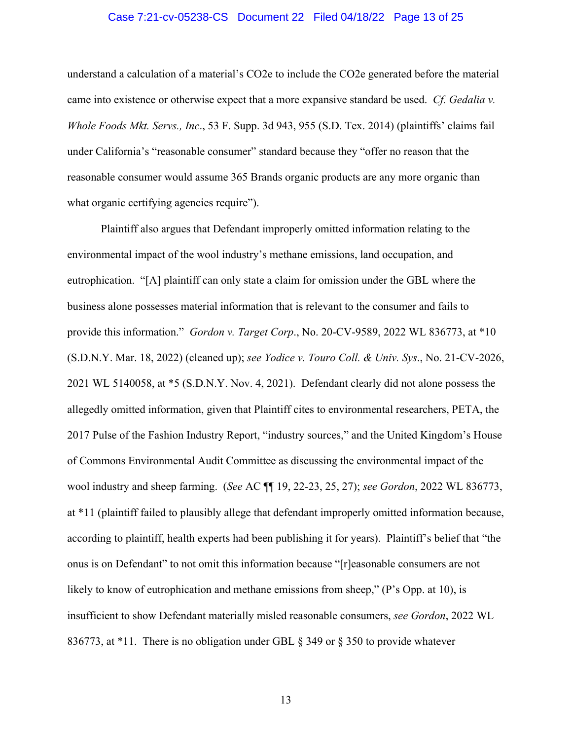#### Case 7:21-cv-05238-CS Document 22 Filed 04/18/22 Page 13 of 25

understand a calculation of a material's CO2e to include the CO2e generated before the material came into existence or otherwise expect that a more expansive standard be used. *Cf. Gedalia v. Whole Foods Mkt. Servs., Inc*., 53 F. Supp. 3d 943, 955 (S.D. Tex. 2014) (plaintiffs' claims fail under California's "reasonable consumer" standard because they "offer no reason that the reasonable consumer would assume 365 Brands organic products are any more organic than what organic certifying agencies require").

Plaintiff also argues that Defendant improperly omitted information relating to the environmental impact of the wool industry's methane emissions, land occupation, and eutrophication. "[A] plaintiff can only state a claim for omission under the GBL where the business alone possesses material information that is relevant to the consumer and fails to provide this information." *Gordon v. Target Corp*., No. 20-CV-9589, 2022 WL 836773, at \*10 (S.D.N.Y. Mar. 18, 2022) (cleaned up); *see Yodice v. Touro Coll. & Univ. Sys*., No. 21-CV-2026, 2021 WL 5140058, at \*5 (S.D.N.Y. Nov. 4, 2021). Defendant clearly did not alone possess the allegedly omitted information, given that Plaintiff cites to environmental researchers, PETA, the 2017 Pulse of the Fashion Industry Report, "industry sources," and the United Kingdom's House of Commons Environmental Audit Committee as discussing the environmental impact of the wool industry and sheep farming. (*See* AC ¶¶ 19, 22-23, 25, 27); *see Gordon*, 2022 WL 836773, at \*11 (plaintiff failed to plausibly allege that defendant improperly omitted information because, according to plaintiff, health experts had been publishing it for years). Plaintiff's belief that "the onus is on Defendant" to not omit this information because "[r]easonable consumers are not likely to know of eutrophication and methane emissions from sheep," (P's Opp. at 10), is insufficient to show Defendant materially misled reasonable consumers, *see Gordon*, 2022 WL 836773, at \*11. There is no obligation under GBL § 349 or § 350 to provide whatever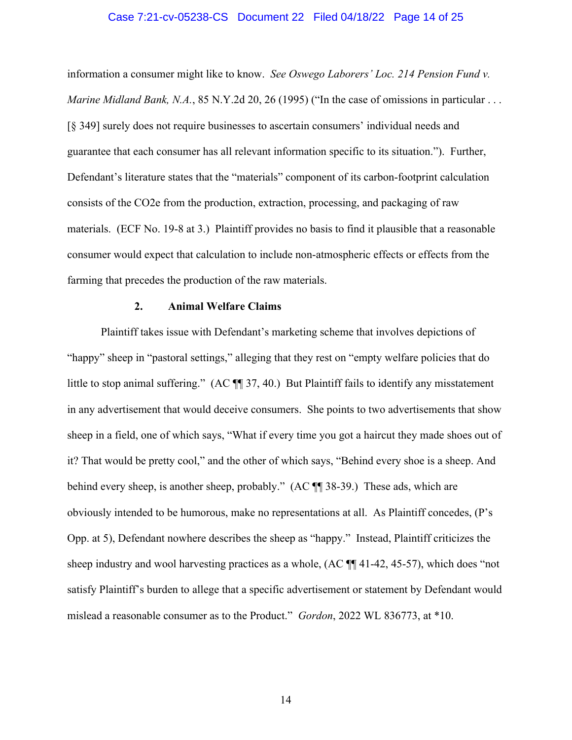#### Case 7:21-cv-05238-CS Document 22 Filed 04/18/22 Page 14 of 25

information a consumer might like to know. *See Oswego Laborers' Loc. 214 Pension Fund v. Marine Midland Bank, N.A.*, 85 N.Y.2d 20, 26 (1995) ("In the case of omissions in particular ... [§ 349] surely does not require businesses to ascertain consumers' individual needs and guarantee that each consumer has all relevant information specific to its situation."). Further, Defendant's literature states that the "materials" component of its carbon-footprint calculation consists of the CO2e from the production, extraction, processing, and packaging of raw materials. (ECF No. 19-8 at 3.) Plaintiff provides no basis to find it plausible that a reasonable consumer would expect that calculation to include non-atmospheric effects or effects from the farming that precedes the production of the raw materials.

#### **2. Animal Welfare Claims**

Plaintiff takes issue with Defendant's marketing scheme that involves depictions of "happy" sheep in "pastoral settings," alleging that they rest on "empty welfare policies that do little to stop animal suffering." (AC  $\P$  37, 40.) But Plaintiff fails to identify any misstatement in any advertisement that would deceive consumers. She points to two advertisements that show sheep in a field, one of which says, "What if every time you got a haircut they made shoes out of it? That would be pretty cool," and the other of which says, "Behind every shoe is a sheep. And behind every sheep, is another sheep, probably." (AC ¶¶ 38-39.) These ads, which are obviously intended to be humorous, make no representations at all. As Plaintiff concedes, (P's Opp. at 5), Defendant nowhere describes the sheep as "happy." Instead, Plaintiff criticizes the sheep industry and wool harvesting practices as a whole, (AC ¶¶ 41-42, 45-57), which does "not satisfy Plaintiff's burden to allege that a specific advertisement or statement by Defendant would mislead a reasonable consumer as to the Product." *Gordon*, 2022 WL 836773, at \*10.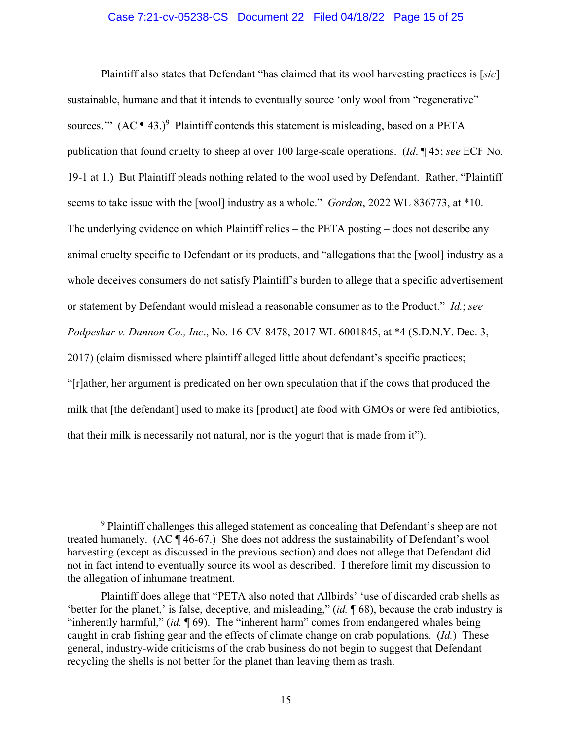## Case 7:21-cv-05238-CS Document 22 Filed 04/18/22 Page 15 of 25

Plaintiff also states that Defendant "has claimed that its wool harvesting practices is [*sic*] sustainable, humane and that it intends to eventually source 'only wool from "regenerative" sources."  $(AC \parallel 43.)^9$  Plaintiff contends this statement is misleading, based on a PETA publication that found cruelty to sheep at over 100 large-scale operations. (*Id*. ¶ 45; *see* ECF No. 19-1 at 1.) But Plaintiff pleads nothing related to the wool used by Defendant. Rather, "Plaintiff seems to take issue with the [wool] industry as a whole." *Gordon*, 2022 WL 836773, at \*10. The underlying evidence on which Plaintiff relies – the PETA posting – does not describe any animal cruelty specific to Defendant or its products, and "allegations that the [wool] industry as a whole deceives consumers do not satisfy Plaintiff's burden to allege that a specific advertisement or statement by Defendant would mislead a reasonable consumer as to the Product." *Id.*; *see Podpeskar v. Dannon Co., Inc*., No. 16-CV-8478, 2017 WL 6001845, at \*4 (S.D.N.Y. Dec. 3, 2017) (claim dismissed where plaintiff alleged little about defendant's specific practices; "[r]ather, her argument is predicated on her own speculation that if the cows that produced the milk that [the defendant] used to make its [product] ate food with GMOs or were fed antibiotics, that their milk is necessarily not natural, nor is the yogurt that is made from it").

<sup>&</sup>lt;sup>9</sup> Plaintiff challenges this alleged statement as concealing that Defendant's sheep are not treated humanely. (AC ¶ 46-67.) She does not address the sustainability of Defendant's wool harvesting (except as discussed in the previous section) and does not allege that Defendant did not in fact intend to eventually source its wool as described. I therefore limit my discussion to the allegation of inhumane treatment.

Plaintiff does allege that "PETA also noted that Allbirds' 'use of discarded crab shells as 'better for the planet,' is false, deceptive, and misleading," (*id.* ¶ 68), because the crab industry is "inherently harmful," (*id.* ¶ 69). The "inherent harm" comes from endangered whales being caught in crab fishing gear and the effects of climate change on crab populations. (*Id.*) These general, industry-wide criticisms of the crab business do not begin to suggest that Defendant recycling the shells is not better for the planet than leaving them as trash.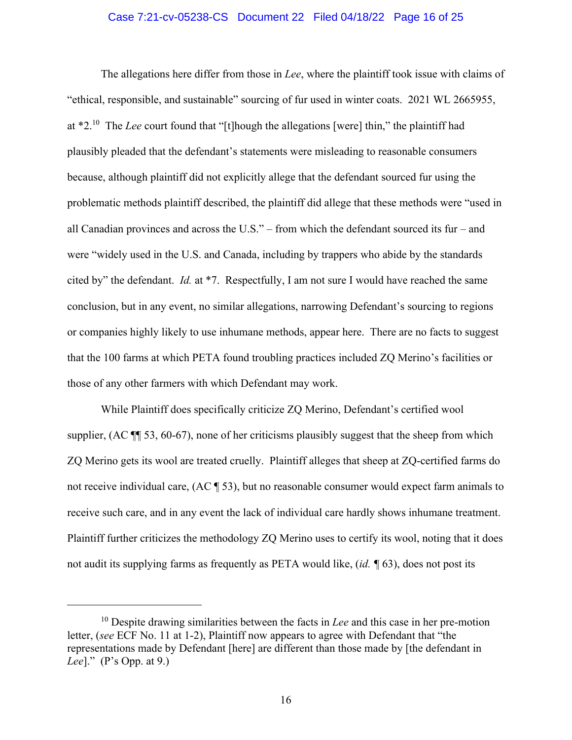### Case 7:21-cv-05238-CS Document 22 Filed 04/18/22 Page 16 of 25

The allegations here differ from those in *Lee*, where the plaintiff took issue with claims of "ethical, responsible, and sustainable" sourcing of fur used in winter coats. 2021 WL 2665955, at \*2.10 The *Lee* court found that "[t]hough the allegations [were] thin," the plaintiff had plausibly pleaded that the defendant's statements were misleading to reasonable consumers because, although plaintiff did not explicitly allege that the defendant sourced fur using the problematic methods plaintiff described, the plaintiff did allege that these methods were "used in all Canadian provinces and across the U.S." – from which the defendant sourced its fur – and were "widely used in the U.S. and Canada, including by trappers who abide by the standards cited by" the defendant. *Id.* at \*7. Respectfully, I am not sure I would have reached the same conclusion, but in any event, no similar allegations, narrowing Defendant's sourcing to regions or companies highly likely to use inhumane methods, appear here. There are no facts to suggest that the 100 farms at which PETA found troubling practices included ZQ Merino's facilities or those of any other farmers with which Defendant may work.

While Plaintiff does specifically criticize ZQ Merino, Defendant's certified wool supplier, (AC ¶¶ 53, 60-67), none of her criticisms plausibly suggest that the sheep from which ZQ Merino gets its wool are treated cruelly. Plaintiff alleges that sheep at ZQ-certified farms do not receive individual care, (AC ¶ 53), but no reasonable consumer would expect farm animals to receive such care, and in any event the lack of individual care hardly shows inhumane treatment. Plaintiff further criticizes the methodology ZQ Merino uses to certify its wool, noting that it does not audit its supplying farms as frequently as PETA would like, (*id. ¶* 63), does not post its

<sup>10</sup> Despite drawing similarities between the facts in *Lee* and this case in her pre-motion letter, (*see* ECF No. 11 at 1-2), Plaintiff now appears to agree with Defendant that "the representations made by Defendant [here] are different than those made by [the defendant in *Lee*]." (P's Opp. at 9.)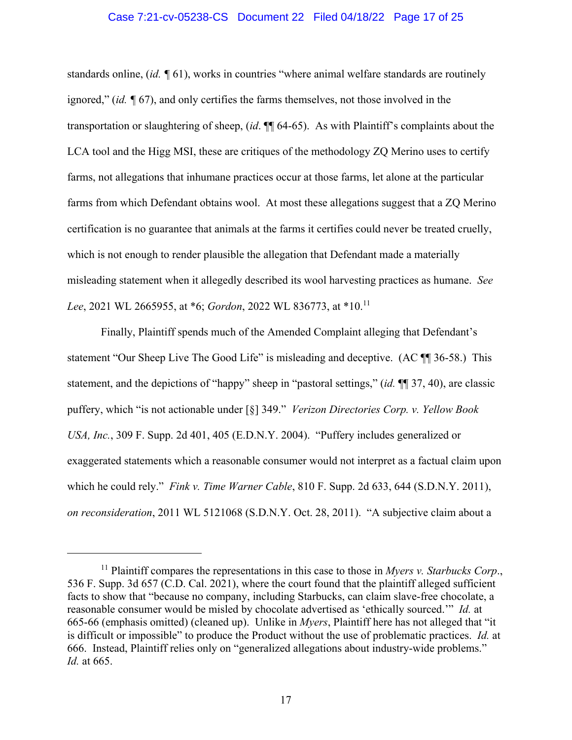### Case 7:21-cv-05238-CS Document 22 Filed 04/18/22 Page 17 of 25

standards online, (*id. ¶* 61), works in countries "where animal welfare standards are routinely ignored," (*id. ¶* 67), and only certifies the farms themselves, not those involved in the transportation or slaughtering of sheep, (*id*. ¶¶ 64-65). As with Plaintiff's complaints about the LCA tool and the Higg MSI, these are critiques of the methodology ZQ Merino uses to certify farms, not allegations that inhumane practices occur at those farms, let alone at the particular farms from which Defendant obtains wool. At most these allegations suggest that a ZQ Merino certification is no guarantee that animals at the farms it certifies could never be treated cruelly, which is not enough to render plausible the allegation that Defendant made a materially misleading statement when it allegedly described its wool harvesting practices as humane. *See Lee*, 2021 WL 2665955, at \*6; *Gordon*, 2022 WL 836773, at \*10.11

Finally, Plaintiff spends much of the Amended Complaint alleging that Defendant's statement "Our Sheep Live The Good Life" is misleading and deceptive. (AC  $\P$  36-58.) This statement, and the depictions of "happy" sheep in "pastoral settings," (*id.* ¶¶ 37, 40), are classic puffery, which "is not actionable under [§] 349." *Verizon Directories Corp. v. Yellow Book USA, Inc.*, 309 F. Supp. 2d 401, 405 (E.D.N.Y. 2004). "Puffery includes generalized or exaggerated statements which a reasonable consumer would not interpret as a factual claim upon which he could rely." *Fink v. Time Warner Cable*, 810 F. Supp. 2d 633, 644 (S.D.N.Y. 2011), *on reconsideration*, 2011 WL 5121068 (S.D.N.Y. Oct. 28, 2011). "A subjective claim about a

<sup>11</sup> Plaintiff compares the representations in this case to those in *Myers v. Starbucks Corp*., 536 F. Supp. 3d 657 (C.D. Cal. 2021), where the court found that the plaintiff alleged sufficient facts to show that "because no company, including Starbucks, can claim slave-free chocolate, a reasonable consumer would be misled by chocolate advertised as 'ethically sourced.'" *Id.* at 665-66 (emphasis omitted) (cleaned up). Unlike in *Myers*, Plaintiff here has not alleged that "it is difficult or impossible" to produce the Product without the use of problematic practices. *Id.* at 666. Instead, Plaintiff relies only on "generalized allegations about industry-wide problems." *Id.* at 665.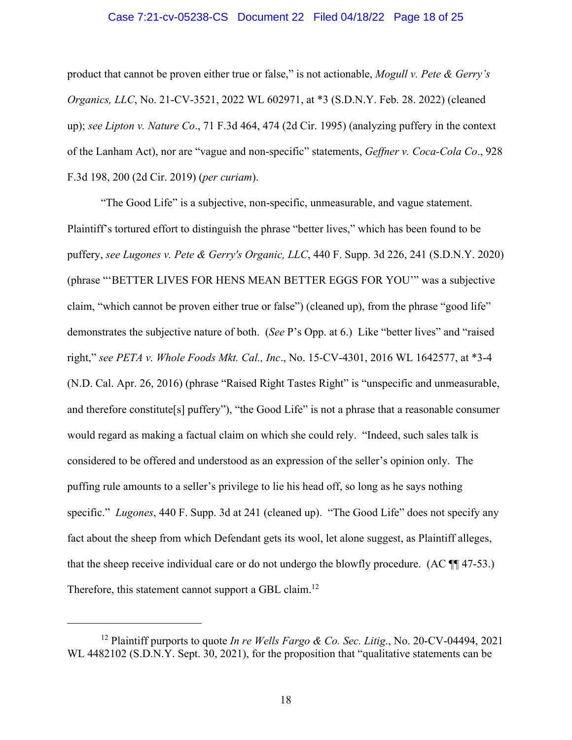#### Case 7:21-cv-05238-CS Document 22 Filed 04/18/22 Page 18 of 25

product that cannot be proven either true or false," is not actionable, *Mogull v. Pete & Gerry's Organics, LLC*, No. 21-CV-3521, 2022 WL 602971, at \*3 (S.D.N.Y. Feb. 28. 2022) (cleaned up); *see Lipton v. Nature Co*., 71 F.3d 464, 474 (2d Cir. 1995) (analyzing puffery in the context of the Lanham Act), nor are "vague and non-specific" statements, *Geffner v. Coca-Cola Co*., 928 F.3d 198, 200 (2d Cir. 2019) (*per curiam*).

"The Good Life" is a subjective, non-specific, unmeasurable, and vague statement. Plaintiff's tortured effort to distinguish the phrase "better lives," which has been found to be puffery, *see Lugones v. Pete & Gerry's Organic, LLC*, 440 F. Supp. 3d 226, 241 (S.D.N.Y. 2020) (phrase "'BETTER LIVES FOR HENS MEAN BETTER EGGS FOR YOU'" was a subjective claim, "which cannot be proven either true or false") (cleaned up), from the phrase "good life" demonstrates the subjective nature of both. (*See* P's Opp. at 6.) Like "better lives" and "raised right," *see PETA v. Whole Foods Mkt. Cal., Inc*., No. 15-CV-4301, 2016 WL 1642577, at \*3-4 (N.D. Cal. Apr. 26, 2016) (phrase "Raised Right Tastes Right" is "unspecific and unmeasurable, and therefore constitute[s] puffery"), "the Good Life" is not a phrase that a reasonable consumer would regard as making a factual claim on which she could rely. "Indeed, such sales talk is considered to be offered and understood as an expression of the seller's opinion only. The puffing rule amounts to a seller's privilege to lie his head off, so long as he says nothing specific." *Lugones*, 440 F. Supp. 3d at 241 (cleaned up). "The Good Life" does not specify any fact about the sheep from which Defendant gets its wool, let alone suggest, as Plaintiff alleges, that the sheep receive individual care or do not undergo the blowfly procedure. (AC ¶¶ 47-53.) Therefore, this statement cannot support a GBL claim.<sup>12</sup>

<sup>12</sup> Plaintiff purports to quote *In re Wells Fargo & Co. Sec. Litig*., No. 20-CV-04494, 2021 WL 4482102 (S.D.N.Y. Sept. 30, 2021), for the proposition that "qualitative statements can be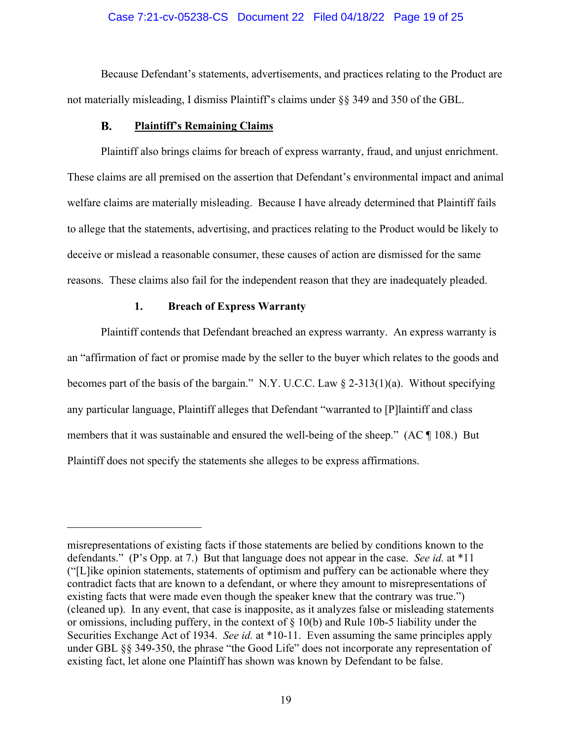### Case 7:21-cv-05238-CS Document 22 Filed 04/18/22 Page 19 of 25

Because Defendant's statements, advertisements, and practices relating to the Product are not materially misleading, I dismiss Plaintiff's claims under §§ 349 and 350 of the GBL.

#### $\mathbf{B}$ . **Plaintiff's Remaining Claims**

Plaintiff also brings claims for breach of express warranty, fraud, and unjust enrichment. These claims are all premised on the assertion that Defendant's environmental impact and animal welfare claims are materially misleading. Because I have already determined that Plaintiff fails to allege that the statements, advertising, and practices relating to the Product would be likely to deceive or mislead a reasonable consumer, these causes of action are dismissed for the same reasons. These claims also fail for the independent reason that they are inadequately pleaded.

## **1. Breach of Express Warranty**

Plaintiff contends that Defendant breached an express warranty. An express warranty is an "affirmation of fact or promise made by the seller to the buyer which relates to the goods and becomes part of the basis of the bargain." N.Y. U.C.C. Law § 2-313(1)(a). Without specifying any particular language, Plaintiff alleges that Defendant "warranted to [P]laintiff and class members that it was sustainable and ensured the well-being of the sheep." (AC ¶ 108.) But Plaintiff does not specify the statements she alleges to be express affirmations.

misrepresentations of existing facts if those statements are belied by conditions known to the defendants." (P's Opp. at 7.) But that language does not appear in the case. *See id.* at \*11 ("[L]ike opinion statements, statements of optimism and puffery can be actionable where they contradict facts that are known to a defendant, or where they amount to misrepresentations of existing facts that were made even though the speaker knew that the contrary was true.") (cleaned up). In any event, that case is inapposite, as it analyzes false or misleading statements or omissions, including puffery, in the context of § 10(b) and Rule 10b-5 liability under the Securities Exchange Act of 1934. *See id.* at \*10-11. Even assuming the same principles apply under GBL §§ 349-350, the phrase "the Good Life" does not incorporate any representation of existing fact, let alone one Plaintiff has shown was known by Defendant to be false.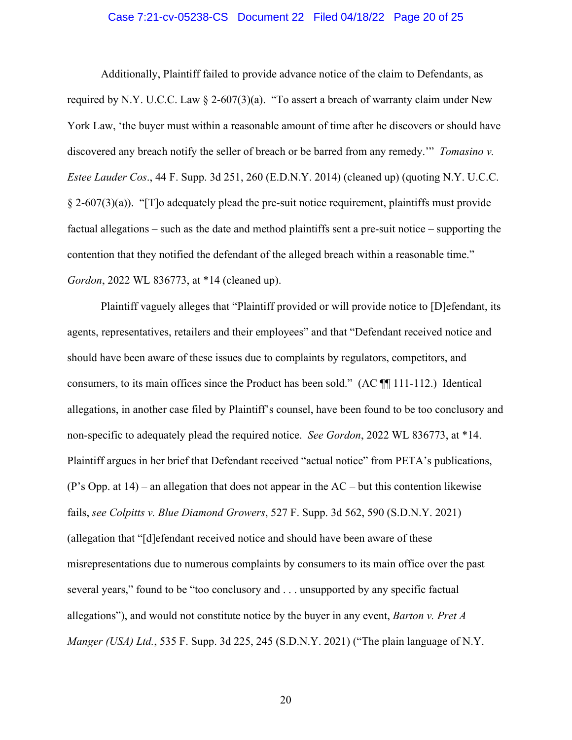#### Case 7:21-cv-05238-CS Document 22 Filed 04/18/22 Page 20 of 25

Additionally, Plaintiff failed to provide advance notice of the claim to Defendants, as required by N.Y. U.C.C. Law § 2-607(3)(a). "To assert a breach of warranty claim under New York Law, 'the buyer must within a reasonable amount of time after he discovers or should have discovered any breach notify the seller of breach or be barred from any remedy.'" *Tomasino v. Estee Lauder Cos*., 44 F. Supp. 3d 251, 260 (E.D.N.Y. 2014) (cleaned up) (quoting N.Y. U.C.C.  $\S$  2-607(3)(a)). "[T]o adequately plead the pre-suit notice requirement, plaintiffs must provide factual allegations – such as the date and method plaintiffs sent a pre-suit notice – supporting the contention that they notified the defendant of the alleged breach within a reasonable time." *Gordon*, 2022 WL 836773, at \*14 (cleaned up).

Plaintiff vaguely alleges that "Plaintiff provided or will provide notice to [D]efendant, its agents, representatives, retailers and their employees" and that "Defendant received notice and should have been aware of these issues due to complaints by regulators, competitors, and consumers, to its main offices since the Product has been sold." (AC ¶¶ 111-112.) Identical allegations, in another case filed by Plaintiff's counsel, have been found to be too conclusory and non-specific to adequately plead the required notice. *See Gordon*, 2022 WL 836773, at \*14. Plaintiff argues in her brief that Defendant received "actual notice" from PETA's publications, (P's Opp. at 14) – an allegation that does not appear in the AC – but this contention likewise fails, *see Colpitts v. Blue Diamond Growers*, 527 F. Supp. 3d 562, 590 (S.D.N.Y. 2021) (allegation that "[d]efendant received notice and should have been aware of these misrepresentations due to numerous complaints by consumers to its main office over the past several years," found to be "too conclusory and . . . unsupported by any specific factual allegations"), and would not constitute notice by the buyer in any event, *Barton v. Pret A Manger (USA) Ltd.*, 535 F. Supp. 3d 225, 245 (S.D.N.Y. 2021) ("The plain language of N.Y.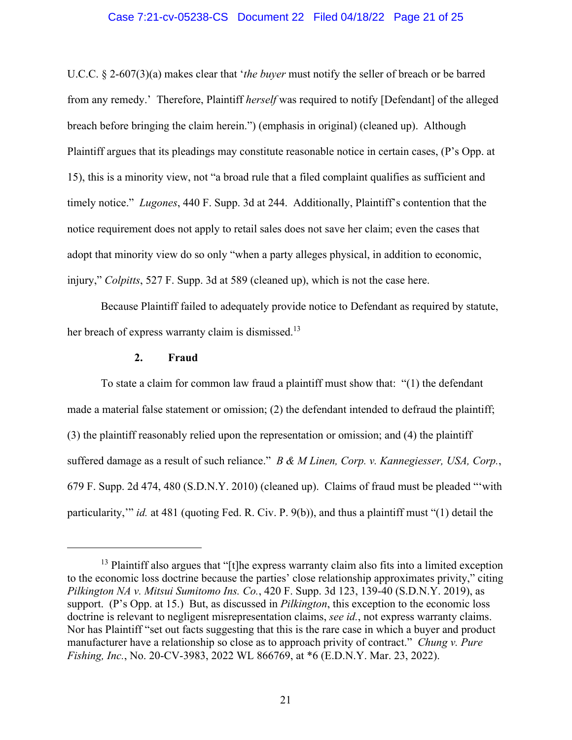### Case 7:21-cv-05238-CS Document 22 Filed 04/18/22 Page 21 of 25

U.C.C. § 2-607(3)(a) makes clear that '*the buyer* must notify the seller of breach or be barred from any remedy.' Therefore, Plaintiff *herself* was required to notify [Defendant] of the alleged breach before bringing the claim herein.") (emphasis in original) (cleaned up). Although Plaintiff argues that its pleadings may constitute reasonable notice in certain cases, (P's Opp. at 15), this is a minority view, not "a broad rule that a filed complaint qualifies as sufficient and timely notice." *Lugones*, 440 F. Supp. 3d at 244. Additionally, Plaintiff's contention that the notice requirement does not apply to retail sales does not save her claim; even the cases that adopt that minority view do so only "when a party alleges physical, in addition to economic, injury," *Colpitts*, 527 F. Supp. 3d at 589 (cleaned up), which is not the case here.

Because Plaintiff failed to adequately provide notice to Defendant as required by statute, her breach of express warranty claim is dismissed.<sup>13</sup>

#### **2. Fraud**

To state a claim for common law fraud a plaintiff must show that: "(1) the defendant made a material false statement or omission; (2) the defendant intended to defraud the plaintiff; (3) the plaintiff reasonably relied upon the representation or omission; and (4) the plaintiff suffered damage as a result of such reliance." *B & M Linen, Corp. v. Kannegiesser, USA, Corp.*, 679 F. Supp. 2d 474, 480 (S.D.N.Y. 2010) (cleaned up). Claims of fraud must be pleaded "'with particularity,'" *id.* at 481 (quoting Fed. R. Civ. P. 9(b)), and thus a plaintiff must "(1) detail the

 $<sup>13</sup>$  Plaintiff also argues that "[t]he express warranty claim also fits into a limited exception</sup> to the economic loss doctrine because the parties' close relationship approximates privity," citing *Pilkington NA v. Mitsui Sumitomo Ins. Co.*, 420 F. Supp. 3d 123, 139-40 (S.D.N.Y. 2019), as support. (P's Opp. at 15.) But, as discussed in *Pilkington*, this exception to the economic loss doctrine is relevant to negligent misrepresentation claims, *see id.*, not express warranty claims. Nor has Plaintiff "set out facts suggesting that this is the rare case in which a buyer and product manufacturer have a relationship so close as to approach privity of contract." *Chung v. Pure Fishing, Inc.*, No. 20-CV-3983, 2022 WL 866769, at \*6 (E.D.N.Y. Mar. 23, 2022).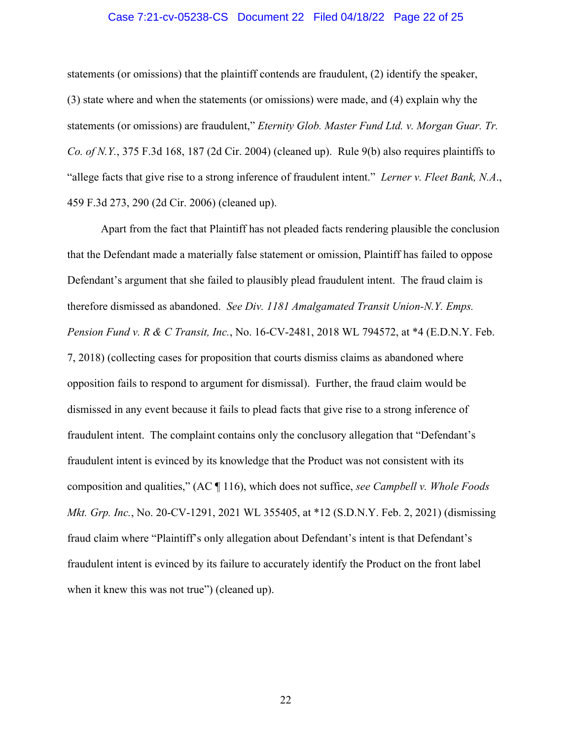### Case 7:21-cv-05238-CS Document 22 Filed 04/18/22 Page 22 of 25

statements (or omissions) that the plaintiff contends are fraudulent, (2) identify the speaker, (3) state where and when the statements (or omissions) were made, and (4) explain why the statements (or omissions) are fraudulent," *Eternity Glob. Master Fund Ltd. v. Morgan Guar. Tr. Co. of N.Y.*, 375 F.3d 168, 187 (2d Cir. 2004) (cleaned up). Rule 9(b) also requires plaintiffs to "allege facts that give rise to a strong inference of fraudulent intent." *Lerner v. Fleet Bank, N.A*., 459 F.3d 273, 290 (2d Cir. 2006) (cleaned up).

Apart from the fact that Plaintiff has not pleaded facts rendering plausible the conclusion that the Defendant made a materially false statement or omission, Plaintiff has failed to oppose Defendant's argument that she failed to plausibly plead fraudulent intent. The fraud claim is therefore dismissed as abandoned. *See Div. 1181 Amalgamated Transit Union-N.Y. Emps. Pension Fund v. R & C Transit, Inc.*, No. 16-CV-2481, 2018 WL 794572, at \*4 (E.D.N.Y. Feb. 7, 2018) (collecting cases for proposition that courts dismiss claims as abandoned where opposition fails to respond to argument for dismissal). Further, the fraud claim would be dismissed in any event because it fails to plead facts that give rise to a strong inference of fraudulent intent. The complaint contains only the conclusory allegation that "Defendant's fraudulent intent is evinced by its knowledge that the Product was not consistent with its composition and qualities," (AC ¶ 116), which does not suffice, *see Campbell v. Whole Foods Mkt. Grp. Inc.*, No. 20-CV-1291, 2021 WL 355405, at \*12 (S.D.N.Y. Feb. 2, 2021) (dismissing fraud claim where "Plaintiff's only allegation about Defendant's intent is that Defendant's fraudulent intent is evinced by its failure to accurately identify the Product on the front label when it knew this was not true") (cleaned up).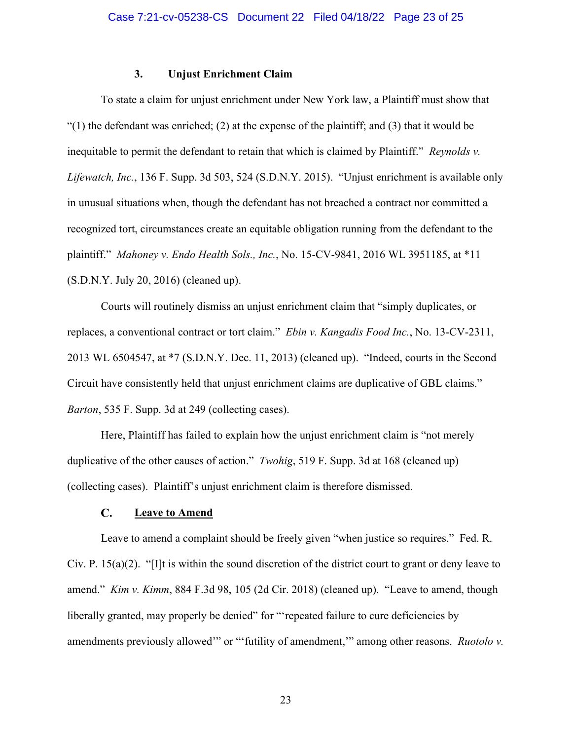# **3. Unjust Enrichment Claim**

To state a claim for unjust enrichment under New York law, a Plaintiff must show that  $(1)$  the defendant was enriched; (2) at the expense of the plaintiff; and (3) that it would be inequitable to permit the defendant to retain that which is claimed by Plaintiff." *Reynolds v. Lifewatch, Inc.*, 136 F. Supp. 3d 503, 524 (S.D.N.Y. 2015). "Unjust enrichment is available only in unusual situations when, though the defendant has not breached a contract nor committed a recognized tort, circumstances create an equitable obligation running from the defendant to the plaintiff." *Mahoney v. Endo Health Sols., Inc.*, No. 15-CV-9841, 2016 WL 3951185, at \*11 (S.D.N.Y. July 20, 2016) (cleaned up).

Courts will routinely dismiss an unjust enrichment claim that "simply duplicates, or replaces, a conventional contract or tort claim." *Ebin v. Kangadis Food Inc.*, No. 13-CV-2311, 2013 WL 6504547, at \*7 (S.D.N.Y. Dec. 11, 2013) (cleaned up). "Indeed, courts in the Second Circuit have consistently held that unjust enrichment claims are duplicative of GBL claims." *Barton*, 535 F. Supp. 3d at 249 (collecting cases).

Here, Plaintiff has failed to explain how the unjust enrichment claim is "not merely duplicative of the other causes of action." *Twohig*, 519 F. Supp. 3d at 168 (cleaned up) (collecting cases). Plaintiff's unjust enrichment claim is therefore dismissed.

#### $C_{\bullet}$ **Leave to Amend**

Leave to amend a complaint should be freely given "when justice so requires." Fed. R. Civ. P. 15(a)(2). "[I]t is within the sound discretion of the district court to grant or deny leave to amend." *Kim v. Kimm*, 884 F.3d 98, 105 (2d Cir. 2018) (cleaned up). "Leave to amend, though liberally granted, may properly be denied" for "'repeated failure to cure deficiencies by amendments previously allowed'" or "'futility of amendment,'" among other reasons. *Ruotolo v.*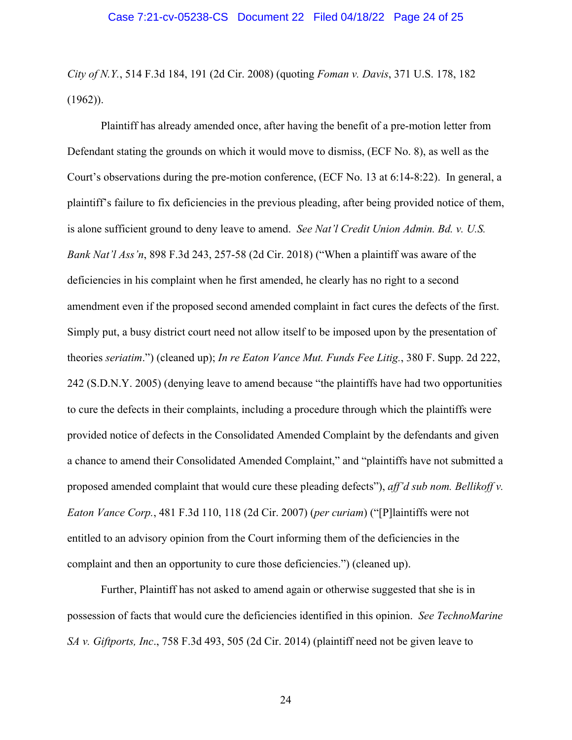*City of N.Y.*, 514 F.3d 184, 191 (2d Cir. 2008) (quoting *Foman v. Davis*, 371 U.S. 178, 182 (1962)).

Plaintiff has already amended once, after having the benefit of a pre-motion letter from Defendant stating the grounds on which it would move to dismiss, (ECF No. 8), as well as the Court's observations during the pre-motion conference, (ECF No. 13 at 6:14-8:22). In general, a plaintiff's failure to fix deficiencies in the previous pleading, after being provided notice of them, is alone sufficient ground to deny leave to amend. *See Nat'l Credit Union Admin. Bd. v. U.S. Bank Nat'l Ass'n*, 898 F.3d 243, 257-58 (2d Cir. 2018) ("When a plaintiff was aware of the deficiencies in his complaint when he first amended, he clearly has no right to a second amendment even if the proposed second amended complaint in fact cures the defects of the first. Simply put, a busy district court need not allow itself to be imposed upon by the presentation of theories *seriatim*.") (cleaned up); *In re Eaton Vance Mut. Funds Fee Litig.*, 380 F. Supp. 2d 222, 242 (S.D.N.Y. 2005) (denying leave to amend because "the plaintiffs have had two opportunities to cure the defects in their complaints, including a procedure through which the plaintiffs were provided notice of defects in the Consolidated Amended Complaint by the defendants and given a chance to amend their Consolidated Amended Complaint," and "plaintiffs have not submitted a proposed amended complaint that would cure these pleading defects"), *aff'd sub nom. Bellikoff v. Eaton Vance Corp.*, 481 F.3d 110, 118 (2d Cir. 2007) (*per curiam*) ("[P]laintiffs were not entitled to an advisory opinion from the Court informing them of the deficiencies in the complaint and then an opportunity to cure those deficiencies.") (cleaned up).

Further, Plaintiff has not asked to amend again or otherwise suggested that she is in possession of facts that would cure the deficiencies identified in this opinion. *See TechnoMarine SA v. Giftports, Inc*., 758 F.3d 493, 505 (2d Cir. 2014) (plaintiff need not be given leave to